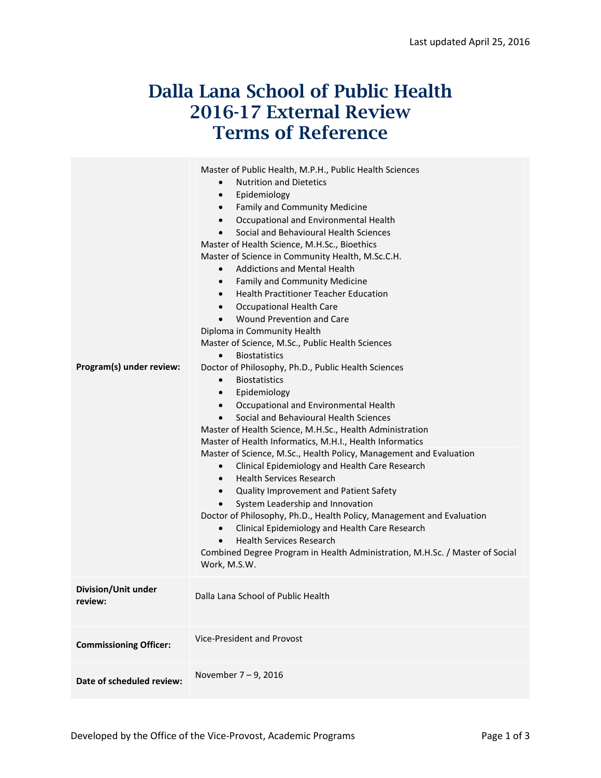# Dalla Lana School of Public Health 2016-17 External Review Terms of Reference

| Program(s) under review:       | Master of Public Health, M.P.H., Public Health Sciences<br><b>Nutrition and Dietetics</b><br>$\bullet$<br>Epidemiology<br>$\bullet$<br>Family and Community Medicine<br>$\bullet$<br>Occupational and Environmental Health<br>$\bullet$<br>Social and Behavioural Health Sciences<br>$\bullet$<br>Master of Health Science, M.H.Sc., Bioethics<br>Master of Science in Community Health, M.Sc.C.H.<br><b>Addictions and Mental Health</b><br>$\bullet$<br>Family and Community Medicine<br>$\bullet$<br><b>Health Practitioner Teacher Education</b><br>$\bullet$<br>Occupational Health Care<br>$\bullet$<br>Wound Prevention and Care<br>$\bullet$<br>Diploma in Community Health<br>Master of Science, M.Sc., Public Health Sciences<br><b>Biostatistics</b><br>$\bullet$<br>Doctor of Philosophy, Ph.D., Public Health Sciences<br><b>Biostatistics</b><br>$\bullet$<br>Epidemiology<br>$\bullet$<br>Occupational and Environmental Health<br>$\bullet$<br>Social and Behavioural Health Sciences<br>$\bullet$<br>Master of Health Science, M.H.Sc., Health Administration<br>Master of Health Informatics, M.H.I., Health Informatics<br>Master of Science, M.Sc., Health Policy, Management and Evaluation<br>Clinical Epidemiology and Health Care Research<br>$\bullet$<br><b>Health Services Research</b><br>$\bullet$<br>Quality Improvement and Patient Safety<br>$\bullet$<br>System Leadership and Innovation<br>Doctor of Philosophy, Ph.D., Health Policy, Management and Evaluation<br>Clinical Epidemiology and Health Care Research<br>$\bullet$<br><b>Health Services Research</b><br>$\bullet$<br>Combined Degree Program in Health Administration, M.H.Sc. / Master of Social<br>Work, M.S.W. |
|--------------------------------|--------------------------------------------------------------------------------------------------------------------------------------------------------------------------------------------------------------------------------------------------------------------------------------------------------------------------------------------------------------------------------------------------------------------------------------------------------------------------------------------------------------------------------------------------------------------------------------------------------------------------------------------------------------------------------------------------------------------------------------------------------------------------------------------------------------------------------------------------------------------------------------------------------------------------------------------------------------------------------------------------------------------------------------------------------------------------------------------------------------------------------------------------------------------------------------------------------------------------------------------------------------------------------------------------------------------------------------------------------------------------------------------------------------------------------------------------------------------------------------------------------------------------------------------------------------------------------------------------------------------------------------------------------------------------------------------------------------------|
| Division/Unit under<br>review: | Dalla Lana School of Public Health                                                                                                                                                                                                                                                                                                                                                                                                                                                                                                                                                                                                                                                                                                                                                                                                                                                                                                                                                                                                                                                                                                                                                                                                                                                                                                                                                                                                                                                                                                                                                                                                                                                                                 |
| <b>Commissioning Officer:</b>  | Vice-President and Provost                                                                                                                                                                                                                                                                                                                                                                                                                                                                                                                                                                                                                                                                                                                                                                                                                                                                                                                                                                                                                                                                                                                                                                                                                                                                                                                                                                                                                                                                                                                                                                                                                                                                                         |
| Date of scheduled review:      | November 7-9, 2016                                                                                                                                                                                                                                                                                                                                                                                                                                                                                                                                                                                                                                                                                                                                                                                                                                                                                                                                                                                                                                                                                                                                                                                                                                                                                                                                                                                                                                                                                                                                                                                                                                                                                                 |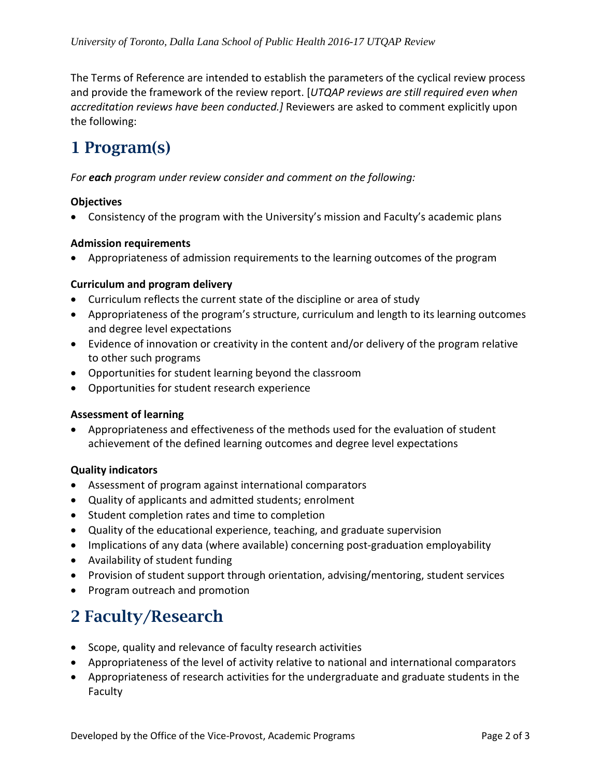The Terms of Reference are intended to establish the parameters of the cyclical review process and provide the framework of the review report. [*UTQAP reviews are still required even when accreditation reviews have been conducted.]* Reviewers are asked to comment explicitly upon the following:

## 1 Program(s)

*For each program under review consider and comment on the following:*

#### **Objectives**

• Consistency of the program with the University's mission and Faculty's academic plans

#### **Admission requirements**

• Appropriateness of admission requirements to the learning outcomes of the program

#### **Curriculum and program delivery**

- Curriculum reflects the current state of the discipline or area of study
- Appropriateness of the program's structure, curriculum and length to its learning outcomes and degree level expectations
- Evidence of innovation or creativity in the content and/or delivery of the program relative to other such programs
- Opportunities for student learning beyond the classroom
- Opportunities for student research experience

#### **Assessment of learning**

• Appropriateness and effectiveness of the methods used for the evaluation of student achievement of the defined learning outcomes and degree level expectations

#### **Quality indicators**

- Assessment of program against international comparators
- Quality of applicants and admitted students; enrolment
- Student completion rates and time to completion
- Quality of the educational experience, teaching, and graduate supervision
- Implications of any data (where available) concerning post-graduation employability
- Availability of student funding
- Provision of student support through orientation, advising/mentoring, student services
- Program outreach and promotion

### 2 Faculty/Research

- Scope, quality and relevance of faculty research activities
- Appropriateness of the level of activity relative to national and international comparators
- Appropriateness of research activities for the undergraduate and graduate students in the Faculty